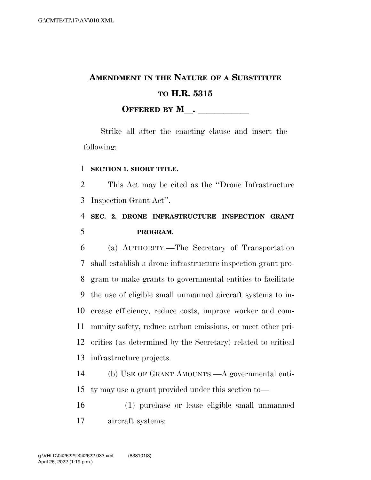# **AMENDMENT IN THE NATURE OF A SUBSTITUTE TO H.R. 5315 OFFERED BY M**.

Strike all after the enacting clause and insert the following:

#### **SECTION 1. SHORT TITLE.**

 This Act may be cited as the ''Drone Infrastructure Inspection Grant Act''.

### **SEC. 2. DRONE INFRASTRUCTURE INSPECTION GRANT PROGRAM.**

 (a) AUTHORITY.—The Secretary of Transportation shall establish a drone infrastructure inspection grant pro- gram to make grants to governmental entities to facilitate the use of eligible small unmanned aircraft systems to in- crease efficiency, reduce costs, improve worker and com- munity safety, reduce carbon emissions, or meet other pri- orities (as determined by the Secretary) related to critical infrastructure projects.

 (b) USE OF GRANT AMOUNTS.—A governmental enti-ty may use a grant provided under this section to—

 (1) purchase or lease eligible small unmanned aircraft systems;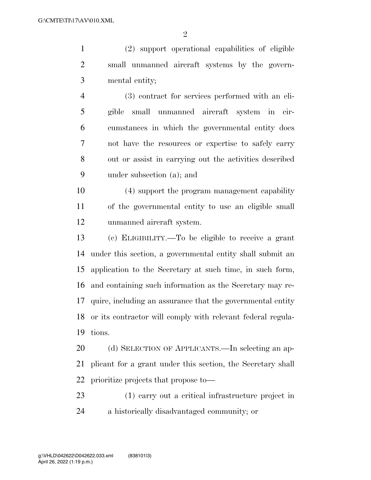(2) support operational capabilities of eligible small unmanned aircraft systems by the govern-mental entity;

 (3) contract for services performed with an eli- gible small unmanned aircraft system in cir- cumstances in which the governmental entity does not have the resources or expertise to safely carry out or assist in carrying out the activities described under subsection (a); and

 (4) support the program management capability of the governmental entity to use an eligible small unmanned aircraft system.

 (c) ELIGIBILITY.—To be eligible to receive a grant under this section, a governmental entity shall submit an application to the Secretary at such time, in such form, and containing such information as the Secretary may re- quire, including an assurance that the governmental entity or its contractor will comply with relevant federal regula-tions.

20 (d) SELECTION OF APPLICANTS.—In selecting an ap- plicant for a grant under this section, the Secretary shall prioritize projects that propose to—

 (1) carry out a critical infrastructure project in a historically disadvantaged community; or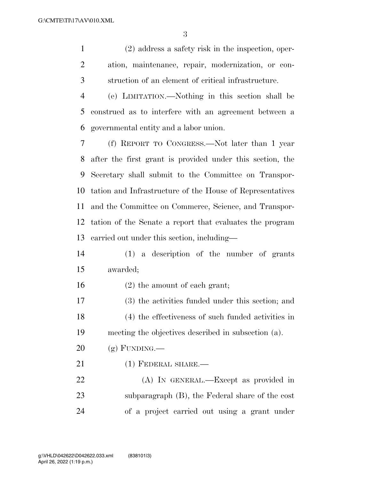(2) address a safety risk in the inspection, oper- ation, maintenance, repair, modernization, or con-struction of an element of critical infrastructure.

 (e) LIMITATION.—Nothing in this section shall be construed as to interfere with an agreement between a governmental entity and a labor union.

 (f) REPORT TO CONGRESS.—Not later than 1 year after the first grant is provided under this section, the Secretary shall submit to the Committee on Transpor- tation and Infrastructure of the House of Representatives and the Committee on Commerce, Science, and Transpor- tation of the Senate a report that evaluates the program carried out under this section, including—

 (1) a description of the number of grants awarded;

(2) the amount of each grant;

 (3) the activities funded under this section; and (4) the effectiveness of such funded activities in meeting the objectives described in subsection (a).

 $20 \quad$  (g) FUNDING.—

21 (1) FEDERAL SHARE.—

 (A) IN GENERAL.—Except as provided in subparagraph (B), the Federal share of the cost of a project carried out using a grant under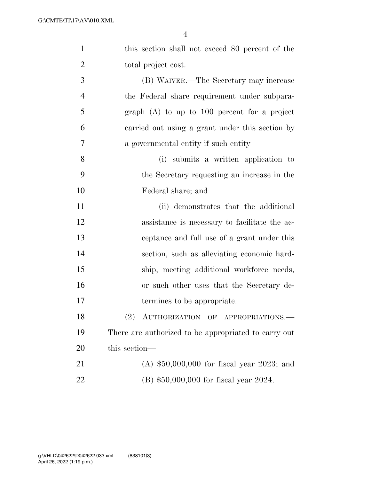| $\mathbf{1}$   | this section shall not exceed 80 percent of the      |
|----------------|------------------------------------------------------|
| $\overline{2}$ | total project cost.                                  |
| 3              | (B) WAIVER.—The Secretary may increase               |
| $\overline{4}$ | the Federal share requirement under subpara-         |
| 5              | graph $(A)$ to up to 100 percent for a project       |
| 6              | carried out using a grant under this section by      |
| 7              | a governmental entity if such entity—                |
| 8              | (i) submits a written application to                 |
| 9              | the Secretary requesting an increase in the          |
| 10             | Federal share; and                                   |
| 11             | (ii) demonstrates that the additional                |
| 12             | assistance is necessary to facilitate the ac-        |
| 13             | ceptance and full use of a grant under this          |
| 14             | section, such as alleviating economic hard-          |
| 15             | ship, meeting additional workforce needs,            |
| 16             | or such other uses that the Secretary de-            |
| 17             | termines to be appropriate.                          |
| 18             | (2) AUTHORIZATION OF APPROPRIATIONS.                 |
| 19             | There are authorized to be appropriated to carry out |
| 20             | this section-                                        |
| 21             | (A) $$50,000,000$ for fiscal year 2023; and          |
| 22             | $(B)$ \$50,000,000 for fiscal year 2024.             |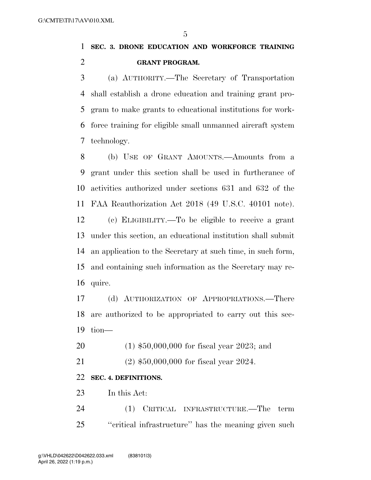### **SEC. 3. DRONE EDUCATION AND WORKFORCE TRAINING GRANT PROGRAM.**

 (a) AUTHORITY.—The Secretary of Transportation shall establish a drone education and training grant pro- gram to make grants to educational institutions for work- force training for eligible small unmanned aircraft system technology.

 (b) USE OF GRANT AMOUNTS.—Amounts from a grant under this section shall be used in furtherance of activities authorized under sections 631 and 632 of the FAA Reauthorization Act 2018 (49 U.S.C. 40101 note).

 (c) ELIGIBILITY.—To be eligible to receive a grant under this section, an educational institution shall submit an application to the Secretary at such time, in such form, and containing such information as the Secretary may re-quire.

 (d) AUTHORIZATION OF APPROPRIATIONS.—There are authorized to be appropriated to carry out this sec-tion—

(1) \$50,000,000 for fiscal year 2023; and

(2) \$50,000,000 for fiscal year 2024.

#### **SEC. 4. DEFINITIONS.**

In this Act:

 (1) CRITICAL INFRASTRUCTURE.—The term ''critical infrastructure'' has the meaning given such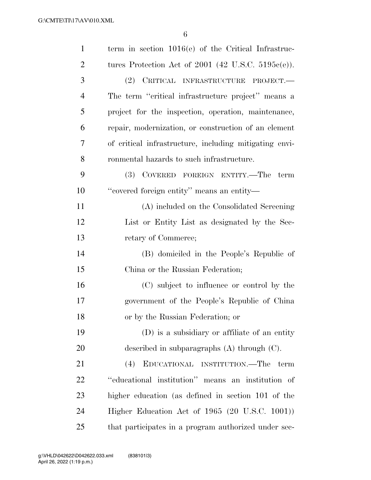| $\mathbf{1}$   | term in section $1016(e)$ of the Critical Infrastruc-  |
|----------------|--------------------------------------------------------|
| $\overline{2}$ | tures Protection Act of 2001 (42 U.S.C. 5195 $e(e)$ ). |
| 3              | (2) CRITICAL INFRASTRUCTURE PROJECT.                   |
| 4              | The term "critical infrastructure project" means a     |
| 5              | project for the inspection, operation, maintenance,    |
| 6              | repair, modernization, or construction of an element   |
| 7              | of critical infrastructure, including mitigating envi- |
| 8              | ronmental hazards to such infrastructure.              |
| 9              | (3) COVERED FOREIGN ENTITY.—The<br>term                |
| 10             | "covered foreign entity" means an entity-              |
| 11             | (A) included on the Consolidated Screening             |
| 12             | List or Entity List as designated by the Sec-          |
| 13             | retary of Commerce;                                    |
| 14             | (B) domiciled in the People's Republic of              |
| 15             | China or the Russian Federation;                       |
| 16             | (C) subject to influence or control by the             |
| 17             | government of the People's Republic of China           |
| 18             | or by the Russian Federation; or                       |
| 19             | (D) is a subsidiary or affiliate of an entity          |
| 20             | described in subparagraphs $(A)$ through $(C)$ .       |
| 21             | (4)<br>EDUCATIONAL INSTITUTION.—The term               |
| 22             | "educational institution" means an institution of      |
| 23             | higher education (as defined in section 101 of the     |
| 24             | Higher Education Act of $1965$ (20 U.S.C. 1001))       |
| 25             | that participates in a program authorized under sec-   |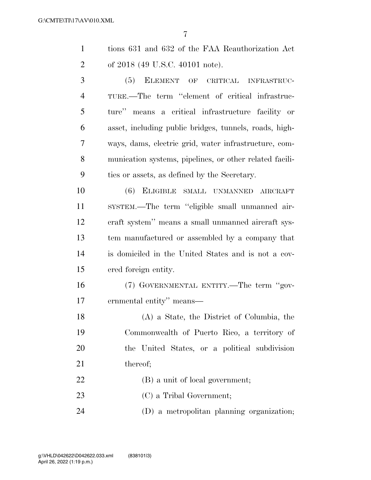| tions 631 and 632 of the FAA Reauthorization Act |
|--------------------------------------------------|
| of 2018 (49 U.S.C. 40101 note).                  |

 (5) ELEMENT OF CRITICAL INFRASTRUC- TURE.—The term ''element of critical infrastruc- ture'' means a critical infrastructure facility or asset, including public bridges, tunnels, roads, high- ways, dams, electric grid, water infrastructure, com- munication systems, pipelines, or other related facili-ties or assets, as defined by the Secretary.

 (6) ELIGIBLE SMALL UNMANNED AIRCRAFT SYSTEM.—The term ''eligible small unmanned air- craft system'' means a small unmanned aircraft sys- tem manufactured or assembled by a company that is domiciled in the United States and is not a cov-ered foreign entity.

 (7) GOVERNMENTAL ENTITY.—The term ''gov-ernmental entity'' means—

 (A) a State, the District of Columbia, the Commonwealth of Puerto Rico, a territory of the United States, or a political subdivision 21 thereof:

(B) a unit of local government;

(C) a Tribal Government;

(D) a metropolitan planning organization;